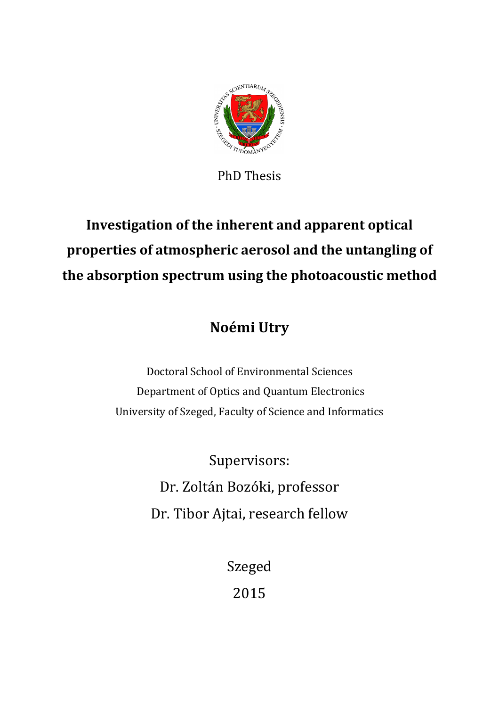

PhD Thesis

# **Investigation of the inherent and apparent optical properties of atmospheric aerosol and the untangling of the absorption spectrum using the photoacoustic method**

# **Noémi Utry**

Doctoral School of Environmental Sciences Department of Optics and Quantum Electronics University of Szeged, Faculty of Science and Informatics

> Supervisors: Dr. Zoltán Bozóki, professor Dr. Tibor Ajtai, research fellow

> > Szeged 2015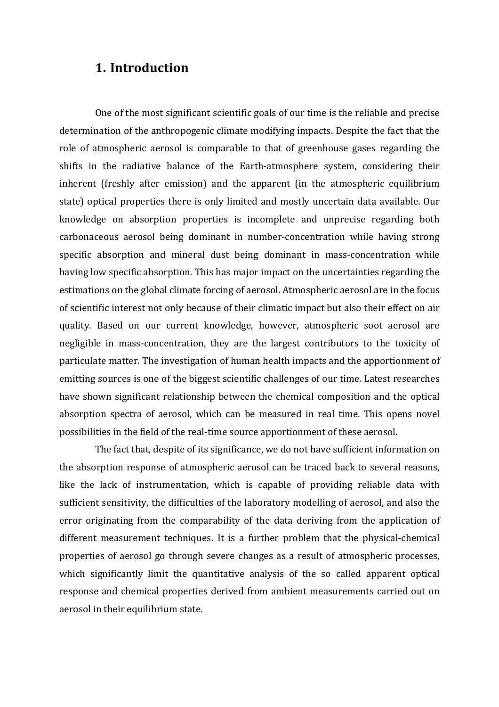#### **1. Introduction**

One of the most significant scientific goals of our time is the reliable and precise determination of the anthropogenic climate modifying impacts. Despite the fact that the role of atmospheric aerosol is comparable to that of greenhouse gases regarding the shifts in the radiative balance of the Earth-atmosphere system, considering their inherent (freshly after emission) and the apparent (in the atmospheric equilibrium state) optical properties there is only limited and mostly uncertain data available. Our knowledge on absorption properties is incomplete and unprecise regarding both carbonaceous aerosol being dominant in number-concentration while having strong specific absorption and mineral dust being dominant in mass-concentration while having low specific absorption. This has major impact on the uncertainties regarding the estimations on the global climate forcing of aerosol. Atmospheric aerosol are in the focus of scientific interest not only because of their climatic impact but also their effect on air quality. Based on our current knowledge, however, atmospheric soot aerosol are negligible in mass-concentration, they are the largest contributors to the toxicity of particulate matter. The investigation of human health impacts and the apportionment of emitting sources is one of the biggest scientific challenges of our time. Latest researches have shown significant relationship between the chemical composition and the optical absorption spectra of aerosol, which can be measured in real time. This opens novel possibilities in the field of the real-time source apportionment of these aerosol.

The fact that, despite of its significance, we do not have sufficient information on the absorption response of atmospheric aerosol can be traced back to several reasons, like the lack of instrumentation, which is capable of providing reliable data with sufficient sensitivity, the difficulties of the laboratory modelling of aerosol, and also the error originating from the comparability of the data deriving from the application of different measurement techniques. It is a further problem that the physical-chemical properties of aerosol go through severe changes as a result of atmospheric processes, which significantly limit the quantitative analysis of the so called apparent optical response and chemical properties derived from ambient measurements carried out on aerosol in their equilibrium state.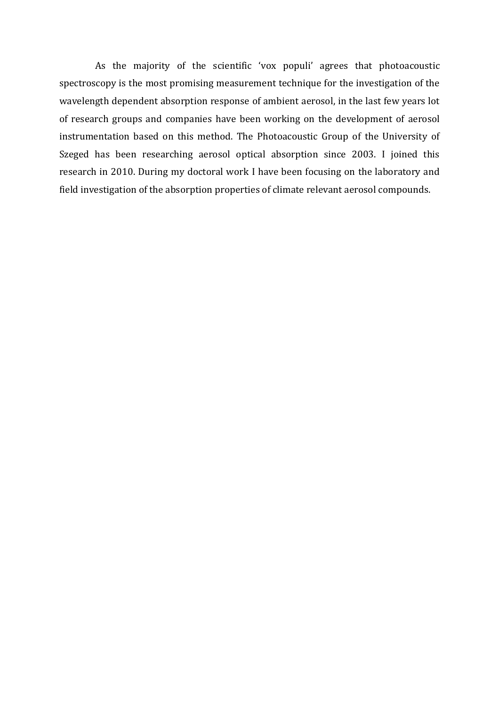As the majority of the scientific 'vox populi' agrees that photoacoustic spectroscopy is the most promising measurement technique for the investigation of the wavelength dependent absorption response of ambient aerosol, in the last few years lot of research groups and companies have been working on the development of aerosol instrumentation based on this method. The Photoacoustic Group of the University of Szeged has been researching aerosol optical absorption since 2003. I joined this research in 2010. During my doctoral work I have been focusing on the laboratory and field investigation of the absorption properties of climate relevant aerosol compounds.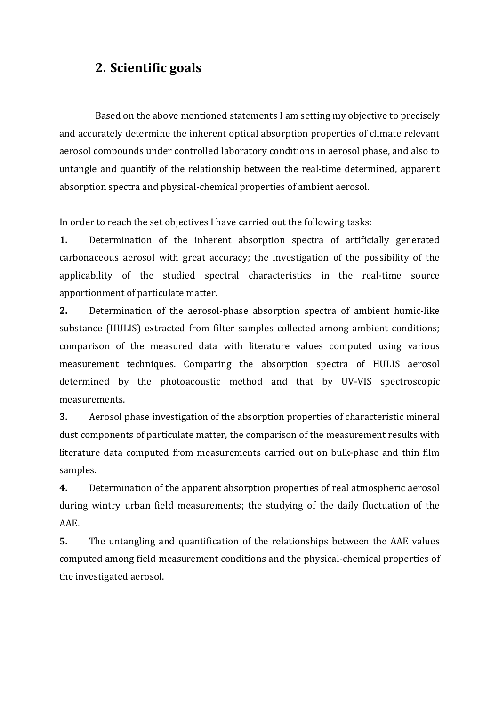## **2. Scientific goals**

Based on the above mentioned statements I am setting my objective to precisely and accurately determine the inherent optical absorption properties of climate relevant aerosol compounds under controlled laboratory conditions in aerosol phase, and also to untangle and quantify of the relationship between the real-time determined, apparent absorption spectra and physical-chemical properties of ambient aerosol.

In order to reach the set objectives I have carried out the following tasks:

**1.** Determination of the inherent absorption spectra of artificially generated carbonaceous aerosol with great accuracy; the investigation of the possibility of the applicability of the studied spectral characteristics in the real-time source apportionment of particulate matter.

**2.** Determination of the aerosol-phase absorption spectra of ambient humic-like substance (HULIS) extracted from filter samples collected among ambient conditions; comparison of the measured data with literature values computed using various measurement techniques. Comparing the absorption spectra of HULIS aerosol determined by the photoacoustic method and that by UV-VIS spectroscopic measurements.

**3.** Aerosol phase investigation of the absorption properties of characteristic mineral dust components of particulate matter, the comparison of the measurement results with literature data computed from measurements carried out on bulk-phase and thin film samples.

**4.** Determination of the apparent absorption properties of real atmospheric aerosol during wintry urban field measurements; the studying of the daily fluctuation of the AAE.

**5.** The untangling and quantification of the relationships between the AAE values computed among field measurement conditions and the physical-chemical properties of the investigated aerosol.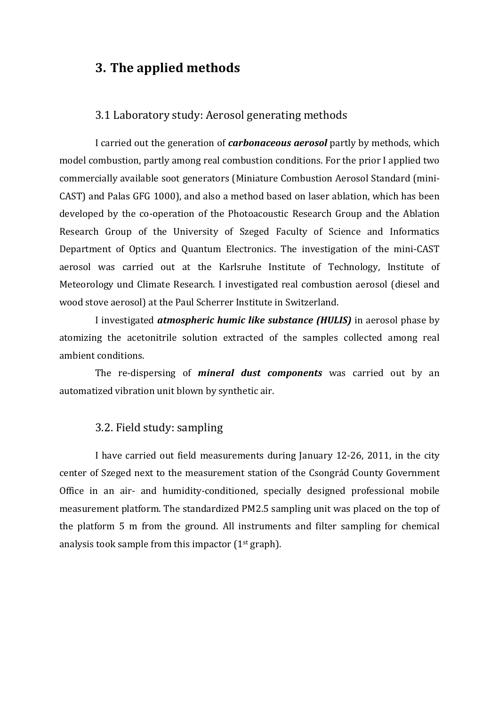### **3. The applied methods**

#### 3.1 Laboratory study: Aerosol generating methods

I carried out the generation of *carbonaceous aerosol* partly by methods, which model combustion, partly among real combustion conditions. For the prior I applied two commercially available soot generators (Miniature Combustion Aerosol Standard (mini-CAST) and Palas GFG 1000), and also a method based on laser ablation, which has been developed by the co-operation of the Photoacoustic Research Group and the Ablation Research Group of the University of Szeged Faculty of Science and Informatics Department of Optics and Quantum Electronics. The investigation of the mini-CAST aerosol was carried out at the Karlsruhe Institute of Technology, Institute of Meteorology und Climate Research. I investigated real combustion aerosol (diesel and wood stove aerosol) at the Paul Scherrer Institute in Switzerland.

I investigated *atmospheric humic like substance (HULIS)* in aerosol phase by atomizing the acetonitrile solution extracted of the samples collected among real ambient conditions.

The re-dispersing of *mineral dust components* was carried out by an automatized vibration unit blown by synthetic air.

#### 3.2. Field study: sampling

I have carried out field measurements during January 12-26, 2011, in the city center of Szeged next to the measurement station of the Csongrád County Government Office in an air- and humidity-conditioned, specially designed professional mobile measurement platform. The standardized PM2.5 sampling unit was placed on the top of the platform 5 m from the ground. All instruments and filter sampling for chemical analysis took sample from this impactor (1st graph).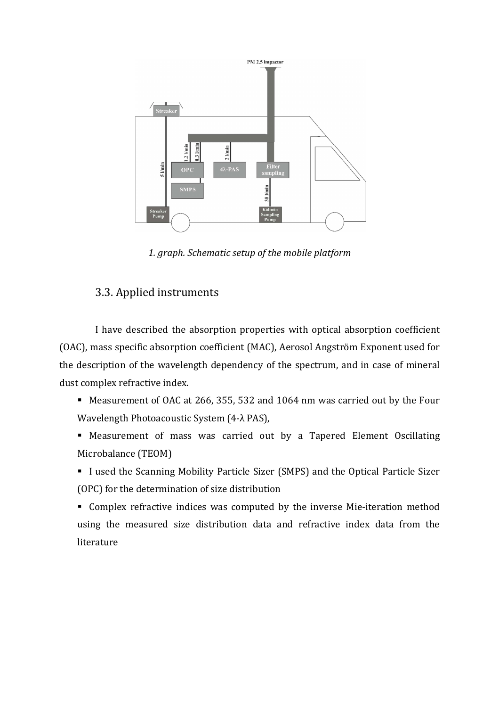

*1. graph. Schematic setup of the mobile platform* 

#### 3.3. Applied instruments

I have described the absorption properties with optical absorption coefficient (OAC), mass specific absorption coefficient (MAC), Aerosol Angström Exponent used for the description of the wavelength dependency of the spectrum, and in case of mineral dust complex refractive index.

- Measurement of OAC at 266, 355, 532 and 1064 nm was carried out by the Four Wavelength Photoacoustic System (4-λ PAS),
- Measurement of mass was carried out by a Tapered Element Oscillating Microbalance (TEOM)
- I used the Scanning Mobility Particle Sizer (SMPS) and the Optical Particle Sizer (OPC) for the determination of size distribution
- Complex refractive indices was computed by the inverse Mie-iteration method using the measured size distribution data and refractive index data from the literature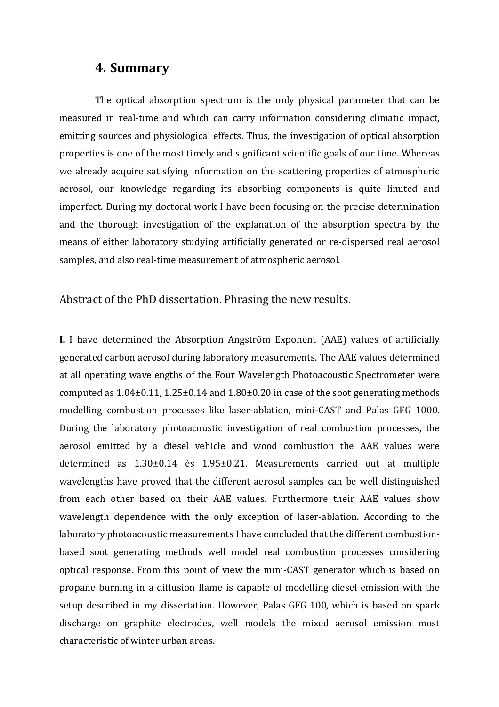#### **4. Summary**

The optical absorption spectrum is the only physical parameter that can be measured in real-time and which can carry information considering climatic impact, emitting sources and physiological effects. Thus, the investigation of optical absorption properties is one of the most timely and significant scientific goals of our time. Whereas we already acquire satisfying information on the scattering properties of atmospheric aerosol, our knowledge regarding its absorbing components is quite limited and imperfect. During my doctoral work I have been focusing on the precise determination and the thorough investigation of the explanation of the absorption spectra by the means of either laboratory studying artificially generated or re-dispersed real aerosol samples, and also real-time measurement of atmospheric aerosol.

#### Abstract of the PhD dissertation. Phrasing the new results.

**I.** I have determined the Absorption Angström Exponent (AAE) values of artificially generated carbon aerosol during laboratory measurements. The AAE values determined at all operating wavelengths of the Four Wavelength Photoacoustic Spectrometer were computed as  $1.04\pm0.11$ ,  $1.25\pm0.14$  and  $1.80\pm0.20$  in case of the soot generating methods modelling combustion processes like laser-ablation, mini-CAST and Palas GFG 1000. During the laboratory photoacoustic investigation of real combustion processes, the aerosol emitted by a diesel vehicle and wood combustion the AAE values were determined as 1.30±0.14 és 1.95±0.21. Measurements carried out at multiple wavelengths have proved that the different aerosol samples can be well distinguished from each other based on their AAE values. Furthermore their AAE values show wavelength dependence with the only exception of laser-ablation. According to the laboratory photoacoustic measurements I have concluded that the different combustionbased soot generating methods well model real combustion processes considering optical response. From this point of view the mini-CAST generator which is based on propane burning in a diffusion flame is capable of modelling diesel emission with the setup described in my dissertation. However, Palas GFG 100, which is based on spark discharge on graphite electrodes, well models the mixed aerosol emission most characteristic of winter urban areas.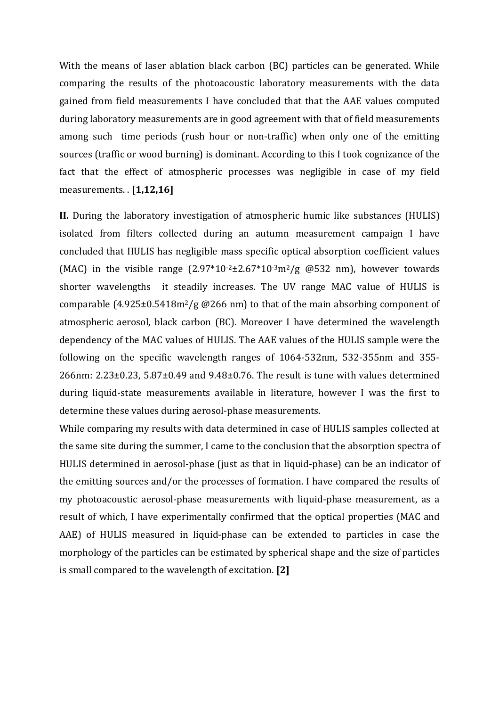With the means of laser ablation black carbon (BC) particles can be generated. While comparing the results of the photoacoustic laboratory measurements with the data gained from field measurements I have concluded that that the AAE values computed during laboratory measurements are in good agreement with that of field measurements among such time periods (rush hour or non-traffic) when only one of the emitting sources (traffic or wood burning) is dominant. According to this I took cognizance of the fact that the effect of atmospheric processes was negligible in case of my field measurements. . **[1,12,16]**

**II.** During the laboratory investigation of atmospheric humic like substances (HULIS) isolated from filters collected during an autumn measurement campaign I have concluded that HULIS has negligible mass specific optical absorption coefficient values (MAC) in the visible range  $(2.97*10<sup>-2</sup>±2.67*10<sup>-3</sup>m<sup>2</sup>/g$  @532 nm), however towards shorter wavelengths it steadily increases. The UV range MAC value of HULIS is comparable  $(4.925\pm0.5418m^2/g \oslash 266 nm)$  to that of the main absorbing component of atmospheric aerosol, black carbon (BC). Moreover I have determined the wavelength dependency of the MAC values of HULIS. The AAE values of the HULIS sample were the following on the specific wavelength ranges of 1064-532nm, 532-355nm and 355-  $266$ nm:  $2.23\pm0.23$ ,  $5.87\pm0.49$  and  $9.48\pm0.76$ . The result is tune with values determined during liquid-state measurements available in literature, however I was the first to determine these values during aerosol-phase measurements.

While comparing my results with data determined in case of HULIS samples collected at the same site during the summer, I came to the conclusion that the absorption spectra of HULIS determined in aerosol-phase (just as that in liquid-phase) can be an indicator of the emitting sources and/or the processes of formation. I have compared the results of my photoacoustic aerosol-phase measurements with liquid-phase measurement, as a result of which, I have experimentally confirmed that the optical properties (MAC and AAE) of HULIS measured in liquid-phase can be extended to particles in case the morphology of the particles can be estimated by spherical shape and the size of particles is small compared to the wavelength of excitation. **[2]**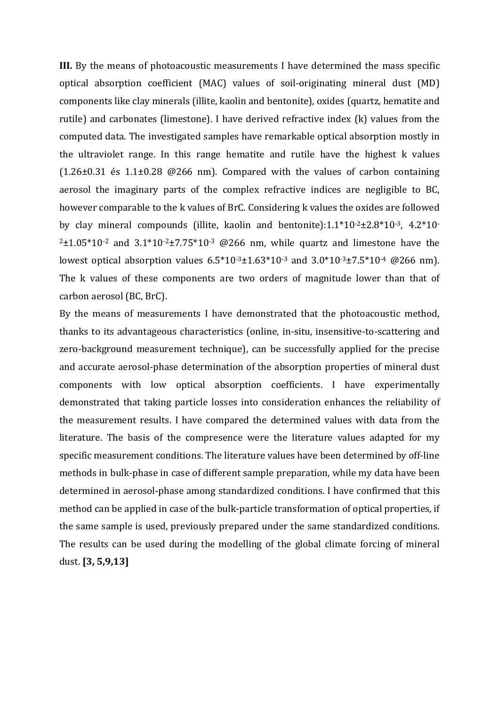**III.** By the means of photoacoustic measurements I have determined the mass specific optical absorption coefficient (MAC) values of soil-originating mineral dust (MD) components like clay minerals (illite, kaolin and bentonite), oxides (quartz, hematite and rutile) and carbonates (limestone). I have derived refractive index (k) values from the computed data. The investigated samples have remarkable optical absorption mostly in the ultraviolet range. In this range hematite and rutile have the highest k values  $(1.26\pm0.31)$  és  $1.1\pm0.28$  @266 nm). Compared with the values of carbon containing aerosol the imaginary parts of the complex refractive indices are negligible to BC, however comparable to the k values of BrC. Considering k values the oxides are followed by clay mineral compounds (illite, kaolin and bentonite): $1.1*10<sup>-2</sup> \pm 2.8*10<sup>-3</sup>$ ,  $4.2*10<sup>-1</sup>$  $2\pm1.05*10=2$  and  $3.1*10=2\pm7.75*10=3$  @266 nm, while quartz and limestone have the lowest optical absorption values  $6.5*10*3±1.63*10*3$  and  $3.0*10*3±7.5*10*4$  @266 nm). The k values of these components are two orders of magnitude lower than that of carbon aerosol (BC, BrC).

By the means of measurements I have demonstrated that the photoacoustic method, thanks to its advantageous characteristics (online, in-situ, insensitive-to-scattering and zero-background measurement technique), can be successfully applied for the precise and accurate aerosol-phase determination of the absorption properties of mineral dust components with low optical absorption coefficients. I have experimentally demonstrated that taking particle losses into consideration enhances the reliability of the measurement results. I have compared the determined values with data from the literature. The basis of the compresence were the literature values adapted for my specific measurement conditions. The literature values have been determined by off-line methods in bulk-phase in case of different sample preparation, while my data have been determined in aerosol-phase among standardized conditions. I have confirmed that this method can be applied in case of the bulk-particle transformation of optical properties, if the same sample is used, previously prepared under the same standardized conditions. The results can be used during the modelling of the global climate forcing of mineral dust. **[3, 5,9,13]**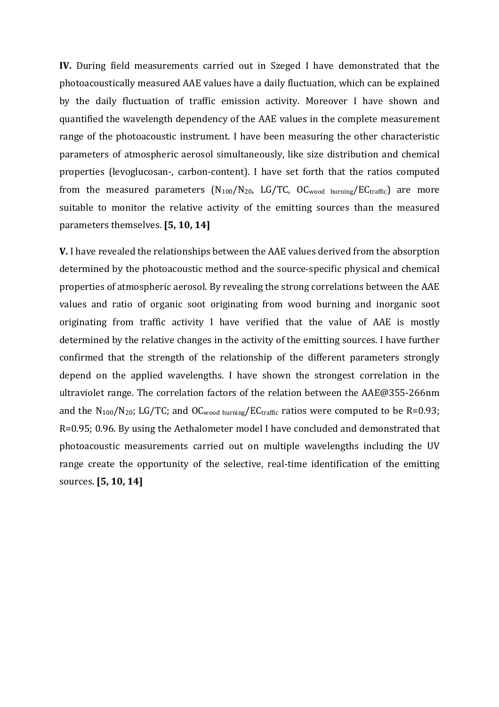**IV.** During field measurements carried out in Szeged I have demonstrated that the photoacoustically measured AAE values have a daily fluctuation, which can be explained by the daily fluctuation of traffic emission activity. Moreover I have shown and quantified the wavelength dependency of the AAE values in the complete measurement range of the photoacoustic instrument. I have been measuring the other characteristic parameters of atmospheric aerosol simultaneously, like size distribution and chemical properties (levoglucosan-, carbon-content). I have set forth that the ratios computed from the measured parameters  $(N_{100}/N_{20}$ , LG/TC, OC<sub>wood burning</sub>/EC<sub>traffic</sub>) are more suitable to monitor the relative activity of the emitting sources than the measured parameters themselves. **[5, 10, 14]**

**V.** I have revealed the relationships between the AAE values derived from the absorption determined by the photoacoustic method and the source-specific physical and chemical properties of atmospheric aerosol. By revealing the strong correlations between the AAE values and ratio of organic soot originating from wood burning and inorganic soot originating from traffic activity I have verified that the value of AAE is mostly determined by the relative changes in the activity of the emitting sources. I have further confirmed that the strength of the relationship of the different parameters strongly depend on the applied wavelengths. I have shown the strongest correlation in the ultraviolet range. The correlation factors of the relation between the AAE@355-266nm and the  $N_{100}/N_{20}$ ; LG/TC; and OC<sub>wood burning</sub>/EC<sub>traffic</sub> ratios were computed to be R=0.93; R=0.95; 0.96. By using the Aethalometer model I have concluded and demonstrated that photoacoustic measurements carried out on multiple wavelengths including the UV range create the opportunity of the selective, real-time identification of the emitting sources. **[5, 10, 14]**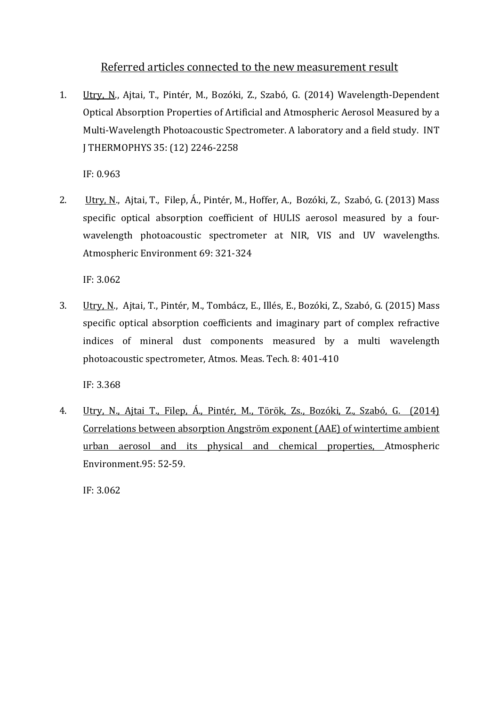#### Referred articles connected to the new measurement result

1. Utry, N., Ajtai, T., Pintér, M., Bozóki, Z., Szabó, G. (2014) Wavelength-Dependent Optical Absorption Properties of Artificial and Atmospheric Aerosol Measured by a Multi-Wavelength Photoacoustic Spectrometer. A laboratory and a field study. INT J THERMOPHYS 35: (12) 2246-2258

IF: 0.963

2. Utry, N., Ajtai, T., Filep, Á., Pintér, M., Hoffer, A., Bozóki, Z., Szabó, G. (2013) Mass specific optical absorption coefficient of HULIS aerosol measured by a fourwavelength photoacoustic spectrometer at NIR, VIS and UV wavelengths. Atmospheric Environment 69: 321-324

IF: 3.062

3. Utry, N., Ajtai, T., Pintér, M., Tombácz, E., Illés, E., Bozóki, Z., Szabó, G. (2015) Mass specific optical absorption coefficients and imaginary part of complex refractive indices of mineral dust components measured by a multi wavelength photoacoustic spectrometer, Atmos. Meas. Tech. 8: 401-410

IF: 3.368

4. Utry, N., Ajtai T., Filep, Á., Pintér, M., Török, Zs., Bozóki, Z., Szabó, G. (2014) Correlations between absorption Angström exponent (AAE) of wintertime ambient urban aerosol and its physical and chemical properties, Atmospheric Environment.95: 52-59.

IF: 3.062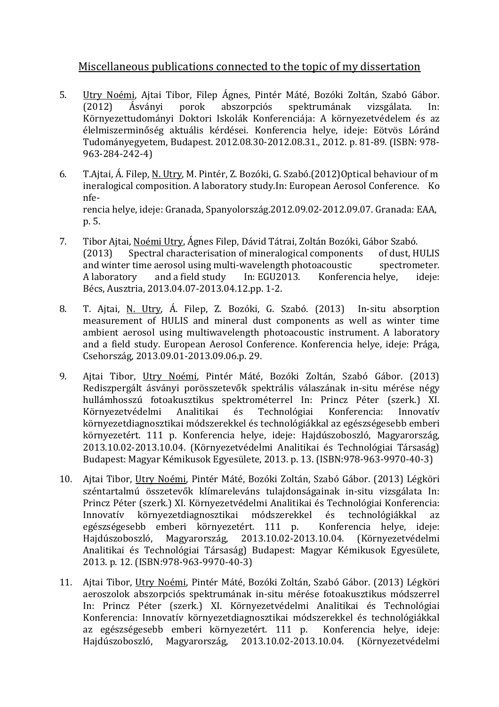#### Miscellaneous publications connected to the topic of my dissertation

- 5. Utry Noémi, Ajtai Tibor, Filep Ágnes, Pintér Máté, Bozóki Zoltán, Szabó Gábor. (2012) Ásványi porok abszorpciós spektrumának vizsgálata. In: Környezettudományi Doktori Iskolák Konferenciája: A környezetvédelem és az élelmiszerminőség aktuális kérdései. Konferencia helye, ideje: Eötvös Lóránd Tudományegyetem, Budapest. 2012.08.30-2012.08.31., 2012. p. 81-89. (ISBN: 978- 963-284-242-4)
- 6. T.Ajtai, Á. Filep, N. Utry, M. Pintér, Z. Bozóki, G. Szabó.(2012)Optical behaviour of m ineralogical composition. A laboratory study.In: European Aerosol Conference. Ko nferencia helye, ideje: Granada, Spanyolország.2012.09.02-2012.09.07. Granada: EAA, p. 5.
- 7. Tibor Ajtai, Noémi Utry, Ágnes Filep, Dávid Tátrai, Zoltán Bozóki, Gábor Szabó. (2013) Spectral characterisation of mineralogical components of dust, HULIS and winter time aerosol using multi-wavelength photoacoustic spectrometer. A laboratory and a field study In: EGU2013. Konferencia helye, ideje: Bécs, Ausztria, 2013.04.07-2013.04.12.pp. 1-2.
- 8. T. Ajtai, N. Utry, Á. Filep, Z. Bozóki, G. Szabó. (2013) In-situ absorption measurement of HULIS and mineral dust components as well as winter time ambient aerosol using multiwavelength photoacoustic instrument. A laboratory and a field study. European Aerosol Conference. Konferencia helye, ideje: Prága, Csehország, 2013.09.01-2013.09.06.p. 29.
- 9. Ajtai Tibor, Utry Noémi, Pintér Máté, Bozóki Zoltán, Szabó Gábor. (2013) Rediszpergált ásványi porösszetevők spektrális válaszának in-situ mérése négy hullámhosszú fotoakusztikus spektrométerrel In: Princz Péter (szerk.) XI. Környezetvédelmi Analitikai és Technológiai Konferencia: Innovatív környezetdiagnosztikai módszerekkel és technológiákkal az egészségesebb emberi környezetért. 111 p. Konferencia helye, ideje: Hajdúszoboszló, Magyarország, 2013.10.02-2013.10.04. (Környezetvédelmi Analitikai és Technológiai Társaság) Budapest: Magyar Kémikusok Egyesülete, 2013. p. 13. (ISBN:978-963-9970-40-3)
- 10. Ajtai Tibor, Utry Noémi, Pintér Máté, Bozóki Zoltán, Szabó Gábor. (2013) Légköri széntartalmú összetevők klímareleváns tulajdonságainak in-situ vizsgálata In: Princz Péter (szerk.) XI. Környezetvédelmi Analitikai és Technológiai Konferencia: Innovatív környezetdiagnosztikai módszerekkel és technológiákkal az egészségesebb emberi környezetért. 111 p. Konferencia helye, ideje: Hajdúszoboszló, Magyarország, 2013.10.02-2013.10.04. (Környezetvédelmi Analitikai és Technológiai Társaság) Budapest: Magyar Kémikusok Egyesülete, 2013. p. 12. (ISBN:978-963-9970-40-3)
- 11. Ajtai Tibor, Utry Noémi, Pintér Máté, Bozóki Zoltán, Szabó Gábor. (2013) Légköri aeroszolok abszorpciós spektrumának in-situ mérése fotoakusztikus módszerrel In: Princz Péter (szerk.) XI. Környezetvédelmi Analitikai és Technológiai Konferencia: Innovatív környezetdiagnosztikai módszerekkel és technológiákkal az egészségesebb emberi környezetért. 111 p. Konferencia helye, ideje: Hajdúszoboszló, Magyarország, 2013.10.02-2013.10.04. (Környezetvédelmi